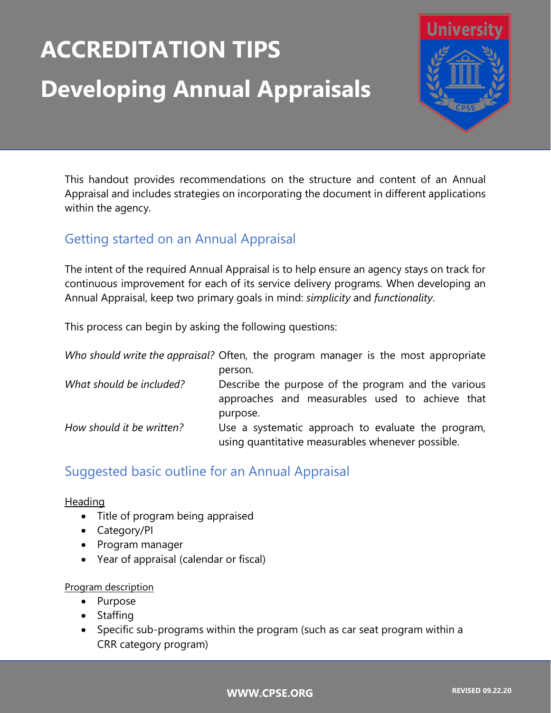# **ACCREDITATION TIPS Developing Annual Appraisals**



This handout provides recommendations on the structure and content of an Annual Appraisal and includes strategies on incorporating the document in different applications within the agency.

# Getting started on an Annual Appraisal

The intent of the required Annual Appraisal is to help ensure an agency stays on track for continuous improvement for each of its service delivery programs. When developing an Annual Appraisal, keep two primary goals in mind: *simplicity* and *functionality*.

This process can begin by asking the following questions:

|                           | Who should write the appraisal? Often, the program manager is the most appropriate                      |
|---------------------------|---------------------------------------------------------------------------------------------------------|
|                           | person.                                                                                                 |
| What should be included?  | Describe the purpose of the program and the various                                                     |
|                           | approaches and measurables used to achieve that                                                         |
|                           | purpose.                                                                                                |
| How should it be written? | Use a systematic approach to evaluate the program,<br>using quantitative measurables whenever possible. |

# Suggested basic outline for an Annual Appraisal

## Heading

- Title of program being appraised
- Category/PI
- Program manager
- Year of appraisal (calendar or fiscal)

### Program description

- Purpose
- Staffing
- Specific sub-programs within the program (such as car seat program within a CRR category program)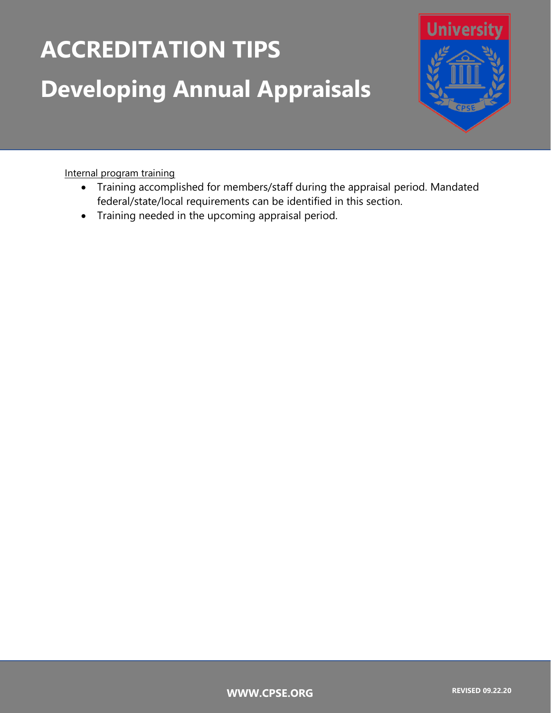# **ACCREDITATION TIPS Developing Annual Appraisals**



Internal program training

- Training accomplished for members/staff during the appraisal period. Mandated federal/state/local requirements can be identified in this section.
- Training needed in the upcoming appraisal period.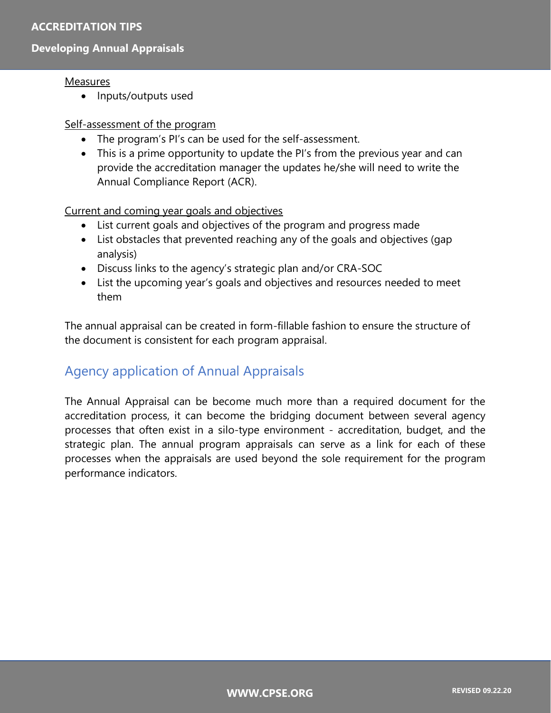## **ACCREDITATION TIPS**

## **Developing Annual Appraisals**

#### **Measures**

• Inputs/outputs used

#### Self-assessment of the program

- The program's PI's can be used for the self-assessment.
- This is a prime opportunity to update the PI's from the previous year and can provide the accreditation manager the updates he/she will need to write the Annual Compliance Report (ACR).

### Current and coming year goals and objectives

- List current goals and objectives of the program and progress made
- List obstacles that prevented reaching any of the goals and objectives (gap analysis)
- Discuss links to the agency's strategic plan and/or CRA-SOC
- List the upcoming year's goals and objectives and resources needed to meet them

The annual appraisal can be created in form-fillable fashion to ensure the structure of the document is consistent for each program appraisal.

# Agency application of Annual Appraisals

The Annual Appraisal can be become much more than a required document for the accreditation process, it can become the bridging document between several agency processes that often exist in a silo-type environment - accreditation, budget, and the strategic plan. The annual program appraisals can serve as a link for each of these processes when the appraisals are used beyond the sole requirement for the program performance indicators.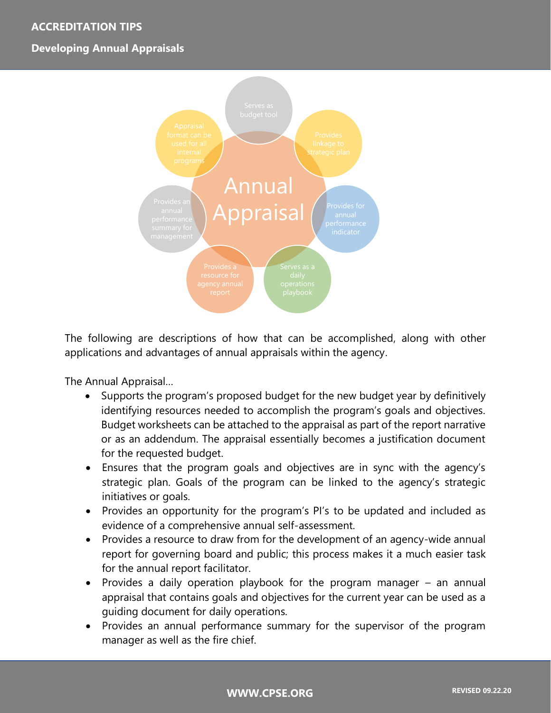## **ACCREDITATION TIPS**

## **Developing Annual Appraisals**



The following are descriptions of how that can be accomplished, along with other applications and advantages of annual appraisals within the agency.

The Annual Appraisal…

- Supports the program's proposed budget for the new budget year by definitively identifying resources needed to accomplish the program's goals and objectives. Budget worksheets can be attached to the appraisal as part of the report narrative or as an addendum. The appraisal essentially becomes a justification document for the requested budget.
- Ensures that the program goals and objectives are in sync with the agency's strategic plan. Goals of the program can be linked to the agency's strategic initiatives or goals.
- Provides an opportunity for the program's PI's to be updated and included as evidence of a comprehensive annual self-assessment.
- Provides a resource to draw from for the development of an agency-wide annual report for governing board and public; this process makes it a much easier task for the annual report facilitator.
- Provides a daily operation playbook for the program manager an annual appraisal that contains goals and objectives for the current year can be used as a guiding document for daily operations.
- Provides an annual performance summary for the supervisor of the program manager as well as the fire chief.